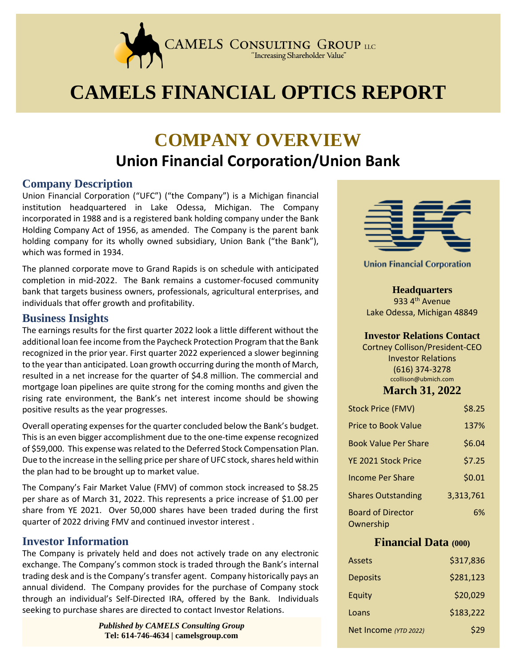

# **CAMELS FINANCIAL OPTICS REPORT**

## **COMPANY OVERVIEW Union Financial Corporation/Union Bank**

#### **Company Description**

Union Financial Corporation ("UFC") ("the Company") is a Michigan financial institution headquartered in Lake Odessa, Michigan. The Company incorporated in 1988 and is a registered bank holding company under the Bank Holding Company Act of 1956, as amended. The Company is the parent bank holding company for its wholly owned subsidiary, Union Bank ("the Bank"), which was formed in 1934.

The planned corporate move to Grand Rapids is on schedule with anticipated completion in mid-2022. The Bank remains a customer-focused community bank that targets business owners, professionals, agricultural enterprises, and individuals that offer growth and profitability.

#### **Business Insights**

The earnings results for the first quarter 2022 look a little different without the additional loan fee income from the Paycheck Protection Program that the Bank recognized in the prior year. First quarter 2022 experienced a slower beginning to the year than anticipated. Loan growth occurring during the month of March, resulted in a net increase for the quarter of \$4.8 million. The commercial and mortgage loan pipelines are quite strong for the coming months and given the rising rate environment, the Bank's net interest income should be showing positive results as the year progresses.

Overall operating expenses for the quarter concluded below the Bank's budget. This is an even bigger accomplishment due to the one-time expense recognized of \$59,000. This expense was related to the Deferred Stock Compensation Plan. Due to the increase in the selling price per share of UFC stock, shares held within the plan had to be brought up to market value.

 quarter of 2022 driving FMV and continued investor interest . The Company's Fair Market Value (FMV) of common stock increased to \$8.25 per share as of March 31, 2022. This represents a price increase of \$1.00 per share from YE 2021. Over 50,000 shares have been traded during the first

#### **Investor Information**

The Company is privately held and does not actively trade on any electronic exchange. The Company's common stock is traded through the Bank's internal trading desk and is the Company's transfer agent. Company historically pays an annual dividend. The Company provides for the purchase of Company stock through an individual's Self-Directed IRA, offered by the Bank. Individuals seeking to purchase shares are directed to contact Investor Relations.

> *Published by CAMELS Consulting Group* **Tel: 614-746-4634 | camelsgroup.com**



**Union Financial Corporation** 

**Headquarters** 933 4<sup>th</sup> Avenue Lake Odessa, Michigan 48849

#### **Investor Relations Contact**

Cortney Collison/President-CEO Investor Relations (616) 374-3278 ccollison@ubmich.com

#### **March 31, 2022**

| <b>Stock Price (FMV)</b>              | \$8.25    |
|---------------------------------------|-----------|
| <b>Price to Book Value</b>            | 137%      |
| <b>Book Value Per Share</b>           | \$6.04    |
| YE 2021 Stock Price                   | \$7.25    |
| <b>Income Per Share</b>               | \$0.01    |
| <b>Shares Outstanding</b>             | 3,313,761 |
| <b>Board of Director</b><br>Ownership | 6%        |

#### **Financial Data (000)**

| Assets                | \$317,836 |
|-----------------------|-----------|
| <b>Deposits</b>       | \$281,123 |
| Equity                | \$20,029  |
| Loans                 | \$183,222 |
| Net Income (YTD 2022) | \$29      |